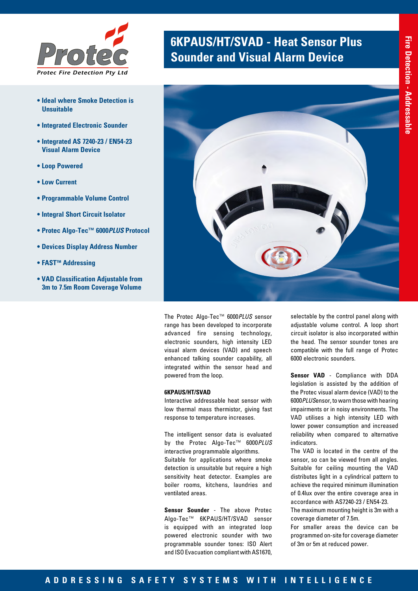

- **Ideal where Smoke Detection is Unsuitable**
- **Integrated Electronic Sounder**
- **Integrated AS 7240-23 / EN54-23 Visual Alarm Device**
- **Loop Powered**
- **Low Current**
- **Programmable Volume Control**
- **Integral Short Circuit Isolator**
- **Protec Algo-Tec™ 6000***PLUS* **Protocol**
- **Devices Display Address Number**
- **FAST™ Addressing**
- **VAD Classification Adjustable from 3m to 7.5m Room Coverage Volume**

# **6KPAUS/HT/SVAD - Heat Sensor Plus <br><b>Sounder and Visual Alarm Device**



The Protec Algo-Tec™ 6000*PLUS* sensor range has been developed to incorporate advanced fire sensing technology, electronic sounders, high intensity LED visual alarm devices (VAD) and speech enhanced talking sounder capability, all integrated within the sensor head and powered from the loop.

#### **6KPAUS/HT/SVAD**

Interactive addressable heat sensor with low thermal mass thermistor, giving fast response to temperature increases.

The intelligent sensor data is evaluated by the Protec Algo-Tec™ 6000*PLUS* interactive programmable algorithms. Suitable for applications where smoke detection is unsuitable but require a high sensitivity heat detector. Examples are boiler rooms, kitchens, laundries and ventilated areas.

**Sensor Sounder** - The above Protec Algo-Tec™ 6KPAUS/HT/SVAD sensor is equipped with an integrated loop powered electronic sounder with two programmable sounder tones: ISO Alert and ISO Evacuation compliant with AS1670,

selectable by the control panel along with adjustable volume control. A loop short circuit isolator is also incorporated within the head. The sensor sounder tones are compatible with the full range of Protec 6000 electronic sounders.

**Sensor VAD** - Compliance with DDA legislation is assisted by the addition of the Protec visual alarm device (VAD) to the 6000*PLUS*ensor, to warn those with hearing impairments or in noisy environments. The VAD utilises a high intensity LED with lower power consumption and increased reliability when compared to alternative indicators.

The VAD is located in the centre of the sensor, so can be viewed from all angles. Suitable for ceiling mounting the VAD distributes light in a cylindrical pattern to achieve the required minimum illumination of 0.4lux over the entire coverage area in accordance with AS7240-23 / EN54-23.

The maximum mounting height is 3m with a coverage diameter of 7.5m.

For smaller areas the device can be programmed on-site for coverage diameter of 3m or 5m at reduced power.